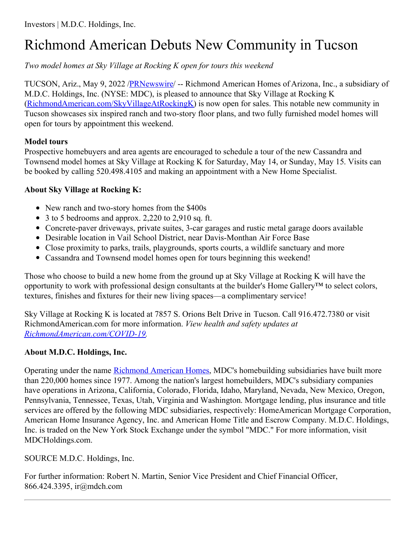## Richmond American Debuts New Community in Tucson

*Two model homes at Sky Village at Rocking K open for tours this weekend*

TUCSON, Ariz., May 9, 2022 [/PRNewswire](http://www.prnewswire.com/)/ -- Richmond American Homes of Arizona, Inc., a subsidiary of M.D.C. Holdings, Inc. (NYSE: MDC), is pleased to announce that Sky Village at Rocking K [\(RichmondAmerican.com/SkyVillageAtRockingK](https://c212.net/c/link/?t=0&l=en&o=3530545-1&h=192134089&u=http%3A%2F%2Fwww.RichmondAmerican.com%2FSkyVillageAtRockingK&a=RichmondAmerican.com%2FSkyVillageAtRockingK)) is now open for sales. This notable new community in Tucson showcases six inspired ranch and two-story floor plans, and two fully furnished model homes will open for tours by appointment this weekend.

## **Model tours**

Prospective homebuyers and area agents are encouraged to schedule a tour of the new Cassandra and Townsend model homes at Sky Village at Rocking K for Saturday, May 14, or Sunday, May 15. Visits can be booked by calling 520.498.4105 and making an appointment with a New Home Specialist.

## **About Sky Village at Rocking K:**

- New ranch and two-story homes from the \$400s
- 3 to 5 bedrooms and approx. 2,220 to 2,910 sq. ft.
- Concrete-paver driveways, private suites, 3-car garages and rustic metal garage doors available
- Desirable location in Vail School District, near Davis-Monthan Air Force Base
- Close proximity to parks, trails, playgrounds, sports courts, a wildlife sanctuary and more
- Cassandra and Townsend model homes open for tours beginning this weekend!

Those who choose to build a new home from the ground up at Sky Village at Rocking K will have the opportunity to work with professional design consultants at the builder's Home Gallery™ to select colors, textures, finishes and fixtures for their new living spaces—a complimentary service!

Sky Village at Rocking K is located at 7857 S. Orions Belt Drive in Tucson. Call 916.472.7380 or visit RichmondAmerican.com for more information. *View health and safety updates at [RichmondAmerican.com/COVID-19](https://c212.net/c/link/?t=0&l=en&o=3530545-1&h=1089697704&u=https%3A%2F%2Fwww.richmondamerican.com%2Fcovid-19&a=RichmondAmerican.com%2FCOVID-19).*

## **About M.D.C. Holdings, Inc.**

Operating under the name [Richmond](https://c212.net/c/link/?t=0&l=en&o=3530545-1&h=3044226402&u=https%3A%2F%2Fwww.richmondamerican.com%2F&a=Richmond+American+Homes) American Homes, MDC's homebuilding subsidiaries have built more than 220,000 homes since 1977. Among the nation's largest homebuilders, MDC's subsidiary companies have operations in Arizona, California, Colorado, Florida, Idaho, Maryland, Nevada, New Mexico, Oregon, Pennsylvania, Tennessee, Texas, Utah, Virginia and Washington. Mortgage lending, plus insurance and title services are offered by the following MDC subsidiaries, respectively: HomeAmerican Mortgage Corporation, American Home Insurance Agency, Inc. and American Home Title and Escrow Company. M.D.C. Holdings, Inc. is traded on the New York Stock Exchange under the symbol "MDC." For more information, visit MDCHoldings.com.

SOURCE M.D.C. Holdings, Inc.

For further information: Robert N. Martin, Senior Vice President and Chief Financial Officer, 866.424.3395, ir@mdch.com